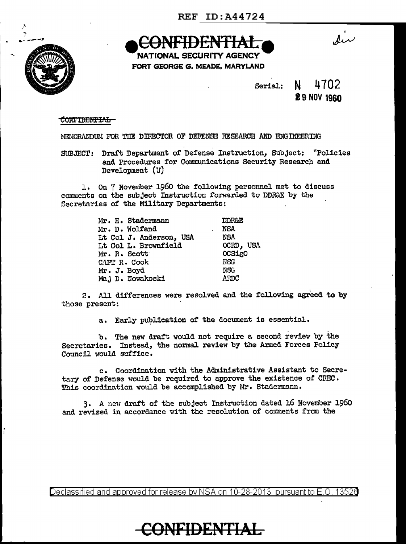

NATIONAL SECURITY AGENCY FORT GEORGE G. MEADE, MARYLAND

Serial: N 4702

## 19 NOV 1960

dir

### con<del>fidential</del>

MELIORANDUM FOR THE DIRECTOR OF DEFENSE RESEARCH AND ENGINEERING

SUBJECT: Draft Department of Defense Instruction, Subject: "Policies and Procedures for Communications Security Research and Development (U)

l. On 7 November 1960 the following personnel met to discuss connaents on the subject Instruction forwarded to DDR&E by the Secretaries of the Military Departments:

| Mr. H. Stadermann       | <b>DDR&amp;E</b> |
|-------------------------|------------------|
| Mr. D. Wolfand          | <b>NSA</b>       |
| Lt Col J. Anderson, USA | NSA              |
| Lt Col L. Brownfield    | OCRD, USA        |
| Mr. R. Scott            | OCSigO           |
| CAPT R. Cook            | <b>NSG</b>       |
| Mr. J. Boyd             | <b>NSG</b>       |
| Maj D. Nowakoski        | ARDC             |

2. All differences were resolved and the following asreed to by those present:

a. Early publication of the document is essential.

. . b. The new draft would not require a second review by the Secretaries. Instead, the normal review by the Arined Forces Policy Council would suffice.

c. Coordination with the Administrative Assistant to Secretary of Defense would be required to approve the existence of CREC. This coordination would be accomplished by Mr. Stadermann.

3. A new draft of the subject Instruction dated 16 November 1960 and revised in accordance with the resolution of comments from the

Declassified and approved for release by NSA on 10-28-2013 pursuant to E.O. 13526

**CONFIDENTIAL**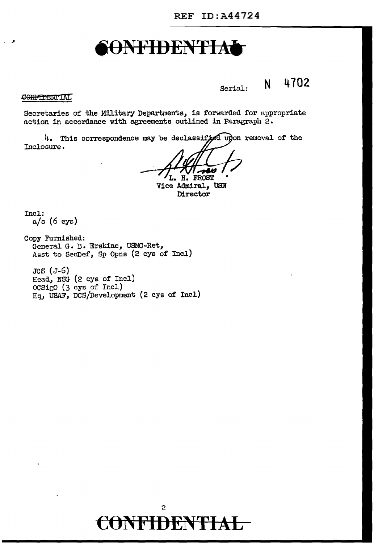Serial: N 4102

CONFIDENTIAL

Secretaries of the Military Departments, is forwarded for appropriate action in accordance with agreements outlined in Paragraph 2.

4. This correspondence may be declassifyed upon removal of the Inclosure.

L. H. FROST Vice Admiral, USN

Director

Incl: a/s (6 cys)

Copy Furnished: General G. B. Erskine, USMC-Ret, Asst to SecDef, Sp Opns (2 cys of Incl)

JCS (J-6) Read, NSG (2 cys of Incl)  $OCSi$  $O$  (3 cys of Incl) Hq, USAF, DCS/Development {2 eye of Incl)

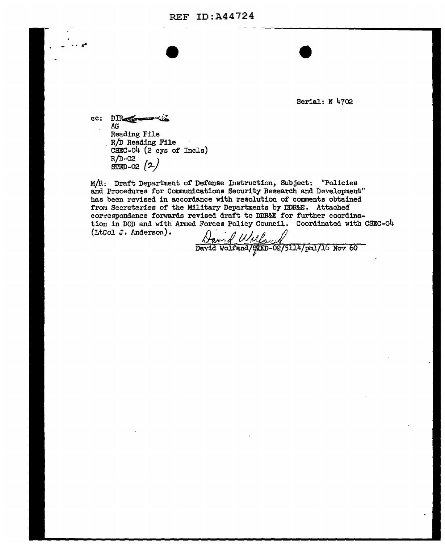REF ID:A44724

Serial: N 4702

 $cc:$  D $R_{\text{even}}$ .AG Reading File<br>R/D Reading File CSEC-04 (2 cys of Incle)  $R/D-02$  $SIED-02$   $(2)$ 

 $\bullet$   $\bullet$   $\bullet$   $\bullet$ 

M/R: Draft Department of Defense Instruction, Subject: "Policies and Procedures for Communications Security Research and Development" has been revised in accordance with resolution of comments obtained from Secretaries of the Military Departments by DDR&E. Attached correspondence forwards revised draft to DDR&E for further coordination in DOD and with Armed Forces Policy Council. Coordinated with CSEC-04 (LtCol J. Anderson).<br> $\int_{\mathcal{A}} \mathcal{A} \mathcal{A} \mathcal{A}$ 

 $\frac{\sqrt{a}}{\sqrt{a}}$  Melfa  $\frac{d}{\sqrt{p}}$  David Wolfand (spen-02/5114/pml/16 Nov 60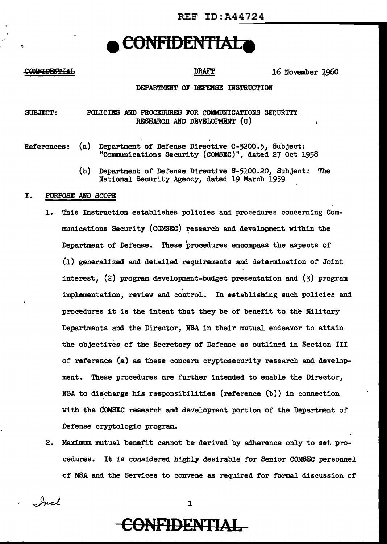#### CONFIDENTIAL

DRAFT 16 November 1960

### DEPARTMENT OF DEFENSE INSTRUCTION

#### SUBJECT: POLICIES AND PROCEDURES FOR COMMUNICATIONS SECURITY RESEARCH AND DEVELOPMENT (U)

- I References: (a) Department of Defense Directive C-520o.5, Subject: "Communications Security (COMSEC)", dated 27 Oct 1958
	- (b) Department of Defense Directive S-5100.20, Subject: The National Security Agency, dated 19 March 1959

#### I. PURPOSE AND SCOPE

- 1. This Instruction establishes policies and procedures concerning Communications Security (COMSEC) research and development within the Department of' Defense. These procedures encompass the aspects of (l) generalized and detailed requirements and determination of Joint interest, (2) program development-budget presentation and (3) program implementation, review and control. In establishing such policies and procedures it is the intent that they be of benefit to the Military Departments and the Director, NSA in their mutual endeavor to attain the objectives of the Secretary of Defense as outlined in Section III of reference (a) as these concern cryptosecurity research and development. These procedures are further intended to enable the Director, NSA to discharge his responsibilities (reference  $(b)$ ) in connection with the dOMSEC research and development portion of the Department of Defense crypto1ogic program.
- 2. Maximum mutual benefit cannot be derived by adherence only to set procedures. It is considered highly desirable for Senior COMSEC personnel of *NBA* and the Services to convene as required for formal discussion of'

Incl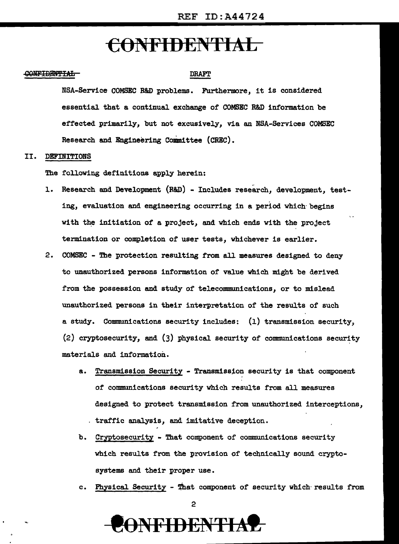## e6NFIDENTIAL

#### <del>CONFIDENTIAL</del>

#### **DRAFT**

NSA-Service COMSEC R&D problems. Furthermore, it is considered essential that a continual exchange of COMSEC R&D information be effected primarily, but not excusively, via an NSA-Services COMSEC Research and Engineering Committee (CREC).

#### II. DEFINITIONS

The following definitions apply herein:

- l. Research and Development (R&D) Includes research, development, testing, evaluation and engineering occurring in a period which· begins with the initiation of a project, and which ends with the project termination or completion of user tests, whichever is earlier.
- 2. COMSEC The protection resulting from all measures designed to deny to unauthorized persons information of value which might be derived from the possession and study of telecommunications, or to mislead unauthorized persons in their interpretation of the results of such a study. Communications security includes: (l) transmission security, (2) cryptosecurity, and (3) physical security of communications security materials and information.
	- a. Transmission Security Transmission security is that component of communications security which results from all measures designed to protect transmission from unauthorized interceptions, traffic analysis, and imitative deception.
	- b. Cryptosecurity That component of communications security which results from the provision of technically sound cryptosystems and their proper use.
	- c. Physical Security That component of security which results from

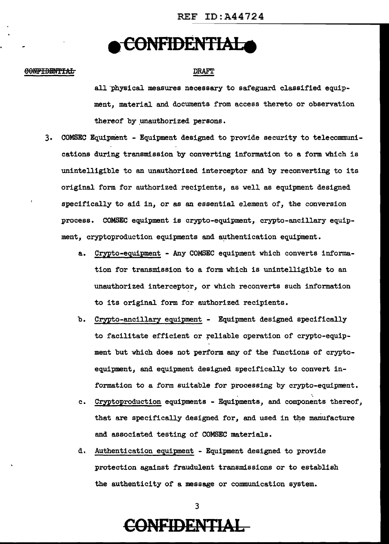## **e CONFID£NTIALe**

#### 60NFIDBNTTAL

#### DRAFT

all physical measures necessary to safeguard classified equipment, material and documents from access thereto or observation thereof by unauthorized persons.

- 3. COMSEC Equipment Equipment designed to provide security to telecommunications during transmission by converting information to a form which is unintelligible to an unauthorized interceptor and by reconverting to its original form for authorized recipients, as well as equipment designed specifically to aid in, or as an essential element of, the conversion process. COMSEC equipment is crypto-equipment, crypto-ancillary equipment, cryptoproduction equipments and authentication equipment.
	- a.. Crypto-equipment Any COMSEC equipment which converts information for transmission to a form which is unintelligible to an unauthorized interceptor, or which reconverts such information to its original form for authorized recipients.
	- b. Crypto-ancillary equipment Equipment designed specifically to facilitate efficient or reliable operation of crypto-equipment but which does not perform any of the functions of cryptoequipment, and equipment designed specifically to convert information to a form suitable for processing by crypto-equipment.
	- c. Cryptoproduction equipments Equipments, and components thereof, that are specifically designed for, and used in the manufacture and associated testing of COMSEC materials.
	- d. Authentication equipment Equipment designed to provide protection against fraudulent transmissions or to establish the authenticity of a message or communication system.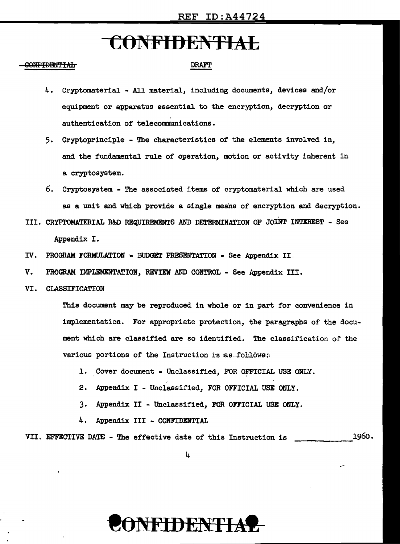#### <del>ONFIDENTIAL</del>

### DRAFT

- 4. Cryptomaterial All material, including documents, devices and/or equipment or apparatus essential to the encryption, decryption or authentication of telecommunications.
- 5. Cryptoprinciple The characteristics of the elements involved in, and the fundamental rule of operation, motion or activity inherent in a cryptosystem.
- 6. Cryptosystem The associated items of cryptomaterial which are used as a unit and which provide a single means of encryption and decryption.
- III. CRYPTOMATERIAL R&D REQUIREMENTS AND DETERMINATION OF JOINT INTEREST See

Appendix I.

- IV. PROGRAM FORMULATION -- BUDGET PRESENTATION See Appendix II.
- V. PROGRAM IMPLEMENTATION, REVIEW AND CONTROL See Appendix III.
- VI. CLASSIFICATION

This document may be reproduced in whole or in part for convenience in implementation. For appropriate protection, the paragraphs of the document which are classified are so identified. The classification of the various portions of the Instruction is as follows:

- 1. Cover document Unclassified, FOR OFFICIAL USE ONLY.
- 2. Appendix I Unclassified, FOR OFFICIAL USE ONLY.
- 3. Appendix II Unclassified, FOR OFFICIAL USE ONLY.
- 4, Appendix III CONFIDENTIAL

VII. EFFECTIVE DATE - The effective date of this Instruction is 1960.

4

# NFIDENTI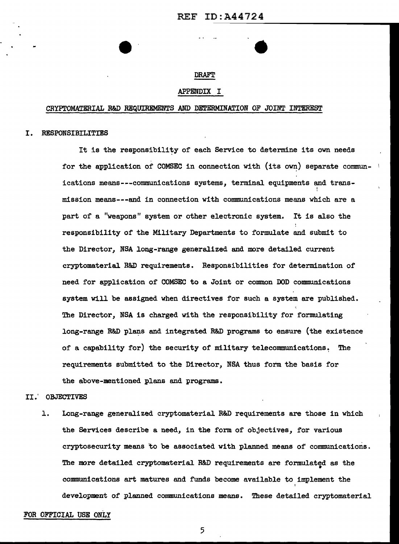•

#### DRAFT

#### APPENDIX I

#### CRYPTOMATERIAL R&D REQUIREMENTS AND DETERMINATION OF JOINT INTEREST

#### I. RESPONSIBILITIES

It is the responsibility of each Service to determine its own needs for the application of COMSEC in connection with (its own) separate communications means---communications systems, terminal equipments and trans-  $\ddot{\ddot{\cdot}}$ mission means---and in connection with communications means which are a part of a "weapons" system or other electronic system. It is also the responsibility of the Military Departments to formulate and submit to the Director, NSA long-range generalized and more detailed current cryptomaterial R&D requirements. Responsibilities for determination of need for application of COMSEC to a Joint or common DOD communications system will be assigned when directives for such a system are published. The Director, NSA is charged with the responsibility for formulating long-range R&D plans and integrated R&D programs to ensure (the existence of a capability for) the security of military telecommunications. The requirements submitted to the Director, NSA thus form the basis for the above-mentioned plans and programs.

#### II.' OBJECTIVES

l. Long-range generalized cryptomaterial R&D requirements are those in which the Services describe a need, in the form of objectives, for various cryptosecurity means to be associated with planned means of communications. The more detailed cryptomaterial R&D requirements are formulated as the communications art matures and funds become available to implement the I development of planned communications means. These detailed cryptomaterial

#### FOR OFFICIAL USE ONLY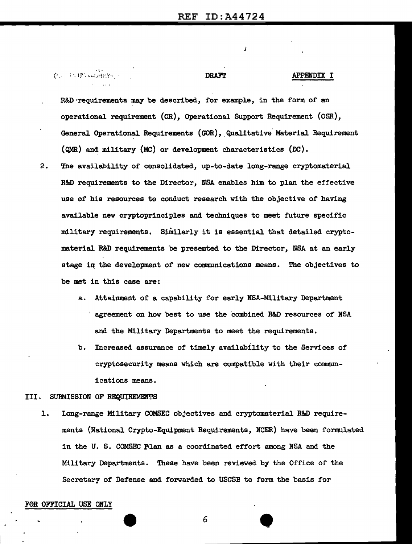J

| 老远 ESTSINGDADYS S | <b>DRAFT</b>                                                      | APPENDIX I |
|-------------------|-------------------------------------------------------------------|------------|
|                   |                                                                   |            |
|                   | R&D requirements may be described, for example, in the form of an |            |

operational requirement (OR), Operational Support Requirement (OSR), General Operational Requirements (GOR), Qualitative Material Requirement ( $QMR$ ) and military (MC) or development characteristics (DC).

- 2. The availability of consolidated, up-to-date long-range cryptomaterial R&D requirements to the Director, NSA enables him to plan the effective use *of* his resources to conduct research with the objective of having available new cryptoprinciples and techniques to meet future specific military requirements. Similarly it is essential that detailed cryptomaterial R&D requirements be presented to the Director, NBA at an early stage in the development of new communications means. The objectives to be met in this case are:
	- a. Attainment of a capability for early NSA-Military Department ' agreement on how best to use the combined R&D resources of NSA and the Military Departments to meet the requirements.
	- b. Increased assurance of timely availability to the Services of cryptosecurity means which are compatible with their communications means.

#### III. SUBMISSION OF REQUIREMENTS

1. Long-range Military COMSEC objectives and cryptomaterial R&D requirements (National Crypto-Equipment Requirements, NCER) have been formulated in the U. S. COMSEC Plan as a coordinated effort among NSA and the Military Departments. These have been reviewed by the Office of the Secretary of Defense and forwarded to USCSB to form the basis for

#### F0R OFFICIAL USE ONLY

 $\begin{array}{c|c} \hline \end{array}$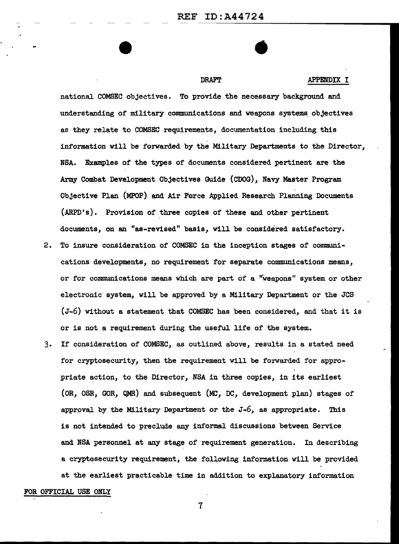•

#### DRAFT APPENDIX I

national COMSEC objectives. To provide the necessary background and understanding of military communications and weapons systems. objectives as they relate to COMSEC requirements, documentation including this information will be forwarded by the Military Departments to the Director, NSA. Examples of the types of documents considered pertinent are the Army Combat Development Objectives Guide (COOG), Navy Master Program Objective Plan (MPOP) and Air Force Applied Research Planning Documents (ARPD's). Provision of three copies of these and other pertinent documents, on an "as-revised" basis, will be considered satisfactory.

- 2. To insure consideration of COMSEC in the inception stages of communications developments, no requirement for separate communications means, or for communications means which are part of a ''weapons" system or other electronic system, will be approved by a Military Department or the JCS (J-6) without a statement that COMSEC has been considered, and that it is or is not a requirement during the useful life of the system.
- 3. If consideration of COMSEC, as outlined above, results in a stated need for cryptosecurity, then the requirement will be forwarded for appropriate action, to the Director, NSA in three copies, in its earliest (OR, OSR, GOR, QMR) and subsequent (MC, DC, development plan) stages of approval by the Military Department or the  $J-6$ , as appropriate. This is not intended to preclude any informal discussions between Service and NSA personnel at any stage of requirement generation. In describing a cryptosecurity requirement, the following information will be provided at the earliest practicable time in addition to explanatory information FOR OFFICIAL USE ONLY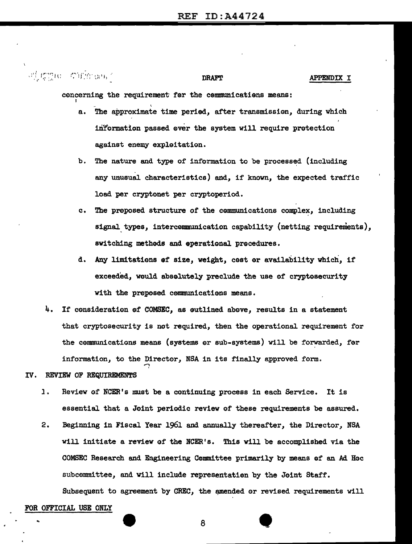### of gine of the one DRAFT APPENDIX I

concerning the requirement for the communications means:

- a. The approximate time period, after transmission, during which inYormation passed 0ver the system will require protection against enemy expleitation.
- b. The nature and type of information to be processed (including any unusual characteristics) and, if known, the expected traffic load per cryptonet per cryptoperiod.
- c. The proposed structure of the communications complex, including signal types, intercommunication capability (netting requirements), switching methods and eperational precedures.
- d. Any limitations ef' size, weight, cost or availability which, if exceeded, would abselutely preclude the use of cryptosecurity with the proposed cemmunicatiens means.
- 4. If consideration of COMSEC, as eutlined above, results in a statement that cryptosecurity is not required, then the operational requirement for the communications means (systems or sub-systems) will be forwarded, for information, to the Director, NSA in its finally approved form.
- IV. REVIEW OF REQUIREMENTS
	- 1. Review of NCER's must be a continuing process in each Service. It is essential that a Joint periodic review of these requirements be assured.
	- 2. Beginning in Fiscal Year 1961 and annually thereafter, the Director, NSA will initiate a review of the NCER's. This will be accomplished via the COMSEC Research and Engineering Committee primarily by means of an Ad Hoc subcommittee, and will include representation by the Joint Staff. Subsequent to agreement by CREC, the amended or revised requirements will

#### FOR OFFICIAL USE ONLY

8 •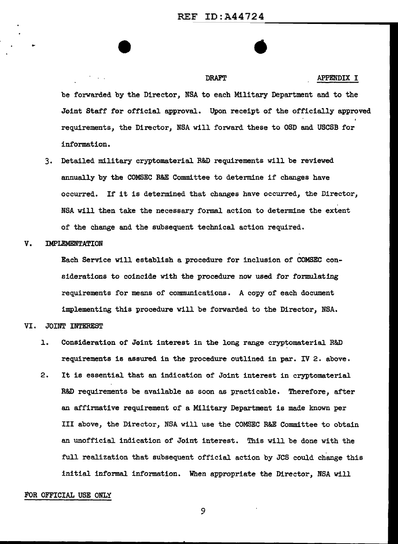•

 $\mathcal{F}=\mathcal{F}^{\mathcal{F}}$  . DRAFT APPENDIX I be forwarded by the Director, NSA to each Military Department and to the Joint Staff for official approval. Upon receipt of the officially approved requirements, the Director, NSA will forward these to OSD and USCSB for information.

3. Detailed military cryptomaterial R&D requirements will be reviewed annually by the COMSEC R&E Committee to detemine if changes have occurred. If it is determined that changes have occurred, the Director, *NBA* will then take the necessary formal action to determine the extent of the change and the subsequent technical action required.

### V. IMPLEMENTATION

Each Service will establish a procedure for inclusion of COMSEC considerations to coincide with the procedure now used for formulating requirements for means of communications. A copy of each document implementing this procedure will be forwarded to the Director, NSA.

#### VI. JOINT INTEREST

- l. Consideration of J0int interest in the long range cryptomaterial R&D requirements is assured in the procedure outlined in par. IV 2. above.
- 2. It is essential that an indication of Joint interest in cryptomaterial R&D requirements be available as soon as practicable. Therefore, after an affirmative requirement of a Military Department is made known per III above, the Director, NSA will use the COMSEC R&E Committee to obtain an unofficial indication of Joint interest. This will be done with the full realization that subsequent official action by JCS could change this initial informal information. When appropriate the Director, NSA will

#### FOR OFFICIAL USE ONLY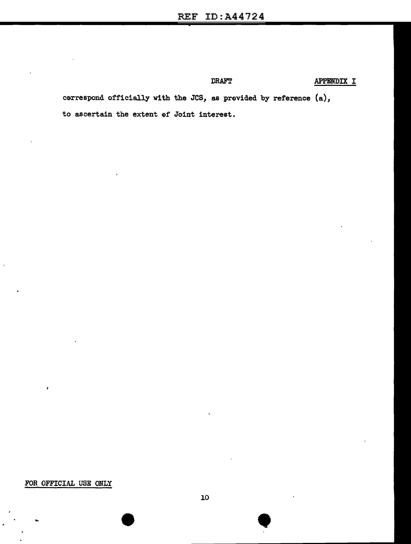DRAFT APPENDIX I

cerrespond officially with the JCS, as provided by reference (a), to ascertain the extent ef Joint interest.

### FOR OFFICIAL USE ONLY

•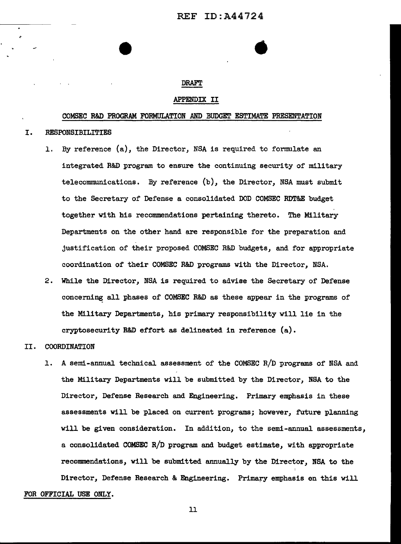•

#### DRAFT

#### APPENDIX II

#### COMSEC R&D PROGRAM FORMULATION AND BUDGET ESTIMATE PRESENTATION

#### I. RESPONSIBILITIES

- 1. By reference (a}, the Director, NSA is required to formulate an integrated R&D program to ensure the continuing security of military telecommunications. By reference (b}, the Director, NSA must submit to the Secretary of Defense a consolidated DOD COMSEC RDT&E budget together with his recommendations pertaining thereto. The Military Departments on the other hand are responsible for the preparation and justification of their proposed COMSEC R&D budgets, and for appropriate coordination of their COMSEC R&D programs with the Director, NSA.
- 2. While the Director, NSA is required to advise the Secretary of Defense concerning all phases of COMSEC R&D as these appear in the programs of the Military Departments, his primary responsibility will lie in the cryptosecurity R&D effort as delineated in reference (a}.

#### II. COORDINATION

1. A semi-annual technical assessment of the COMSEC R/D programs of NSA and the Military Departments will be submitted by the Director, NSA to the Director, Defense Research and Engineering. Primary emphasis in these assessments will be placed on current programs; however, future planning will be given consideration. In addition, to the semi-annual assessments, a consolidated COMSEC R/D program and budget estimate, with appropriate recommendations, will be submitted annually by the Director, NSA to the Director, Defense Research & Engineering. Primary emphasis en this will

FOR OFFICIAL USE ONLY.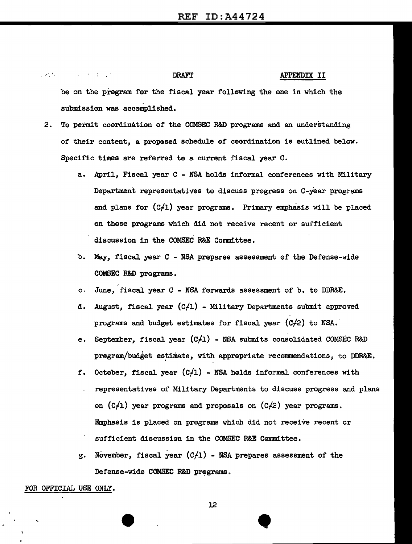| しゅぎょう アーバー・アール エンデン |  |                              | <b>DRAFT</b> |  |  |  |                                                                      | APPENDIX II |  |  |  |  |  |
|---------------------|--|------------------------------|--------------|--|--|--|----------------------------------------------------------------------|-------------|--|--|--|--|--|
|                     |  |                              |              |  |  |  | be on the program for the fiscal year following the one in which the |             |  |  |  |  |  |
|                     |  | submission was accomplished. |              |  |  |  |                                                                      |             |  |  |  |  |  |

- 2. To permit coordination of the COMSEC R&D programs and an understanding of their content, a propesed schedule of ceordination is outlined below. Specific times are referred te a current fiscal year C.
	- a. April, Fiscal year C NSA holds informal conferences with Military Department representatives to discuss progress on C-year programs and plans for  $(C/1)$  year programs. Primary emphasis will be placed on those programs which did not receive recent or sufficient discussion in the COMSEC R&E Committee.
	- b. May, fiscal year C NSA prepares assessment of the Defense-wide COMSEC R&B programs.
	- c. June, fiscal year C NSA forwards assessment of b. to DDR&E.
	- d. August, fiscal year (C,ll) Military Departments submit approved programs and budget estimates for fiscal year  $(C/2)$  to NSA.
	- e. September, fiscal year  $(C/1)$  NSA submits consolidated COMSEC R&D program/budget estimate, with appropriate recommendations, to DDR&E.
	- f. October, fiscal year  $(C/1)$  NSA holds informal conferences with representatives of Military Departments to discuss progress and plans on  $(C/1)$  year programs and proposals on  $(C/2)$  year programs. Emphasis is placed on programs which did not receive recent or sufficient discussion in the COMSEC R&E Committee.
	- g. November, fiscal year  $(C/1)$  NSA prepares assessment of the Defense-wide COMSEC R&D programs.

#### FOR OFFICIAL USE ONLY.

12

**•**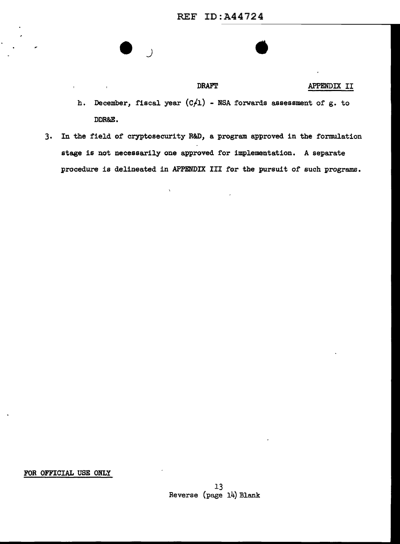$\overline{\phantom{a}}$ 

### DRAFT APPENDIX II

- h. December, fiscal year  $(C/1)$  NSA forwards assessment of g. to DDR&E.
- 3. In the field of cryptosecurity R&D, a program approved in the formulation stage is not necessarily one approved for implementation. A separate procedure is delineated in APPENDIX III for the pursuit of such programs.

 $\ddot{\phantom{0}}$ 

FOR OFFICIAL USE ONLY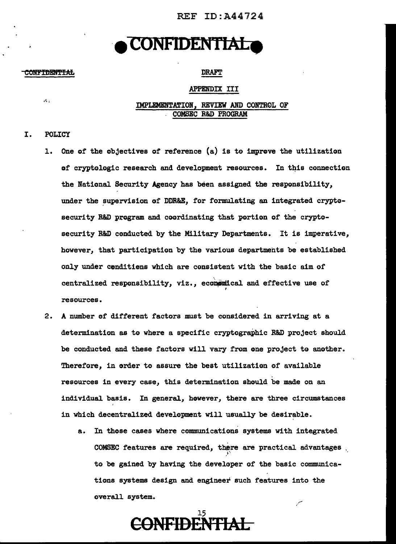REF ID:A44724

## **CONFIDENTIAL**

#### **CONFIDENTIAL**

A.

### DRAFT

#### APPENDIX III

IMPLEMENTATION, REVIEW AND CONTROL OF . COMSEC R&D PROGRAM

### I. POLICY

- l. One of the objectives of reference (a) is te improve the utilization of cryptologic research and development resources. In this connection the National Security Agency has been assigned the responsibility, under the supervision of DDR&E, for formulating an integrated cryptesecurity R&D program and coordinating that portion of the cryptosecurity R&D cenducted by the Military Departments. It is imperative, however, that participation by the various departments be established only under cenditiens which are consistent with the basic aim of centralized responsibility, viz., economical and effective use of resources.
- 2. A number ef different factors must be considered in arriving at a determination as to where a specific cryptographic R&D project should be conducted and these factors will vary from one project to another. Therefore, in order to assure the best utilization of available resources in every case, this determination should be made on an individual basis. In general, however, there are three circumstances in which decentralized development will usually be desirable.
	- a. In those cases where communications systems with integrated COMSEC features are required, there are practical advantages  $\overline{f}$ to be gained by having the developer of the basic communications systems design and engineer such features into the overall system.

15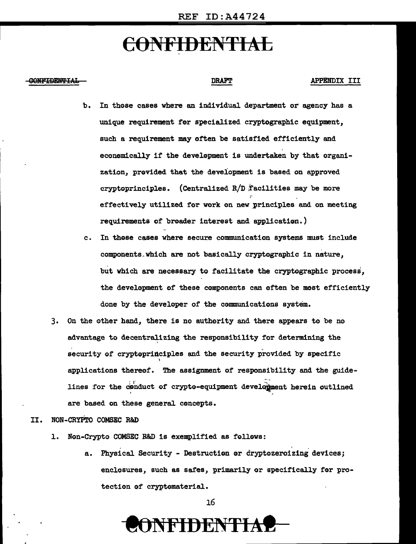#### <u>тария на европити</u>

### DRAFT APPENDIX III

- b. In those cases where an individual department or agency has a unique requirement for specialized cryptographic equipment, such a requirement may often be satisfied efficiently and economically if the development is undertaken by that organization, provided that the development is based on approved cryptoprinciples. (Centralized  $R/D$  facilities may be more effectively utilized for work on new principles and on meeting requirements of broader interest and application.)
- c. In these cases where secure communication systems must include components which are not basically cryptographic in nature, but which are necessary to facilitate the cryptographic process, the development of these components can often be most efficiently done by the developer of the communications system.
- 3. On the other hand, there is no authority and there appears to be no advantage to decentralizing the responsibility for determining the security of cryptoprinciples and the security provided by specific ' applications thereof. The assignment of responsibility and the guide lines for the conduct of crypto-equipment development herein outlined are based on these general concepts.

#### II. NON-CRYPro COMSEC R&D

- 1. Non-Crypto COMSEC B&D is exemplified as follows:
	- a. Physical Security Destruction or cryptozeroizing devices; enclosures, such as safes, primarily or specifically for protection of cryptematerial.

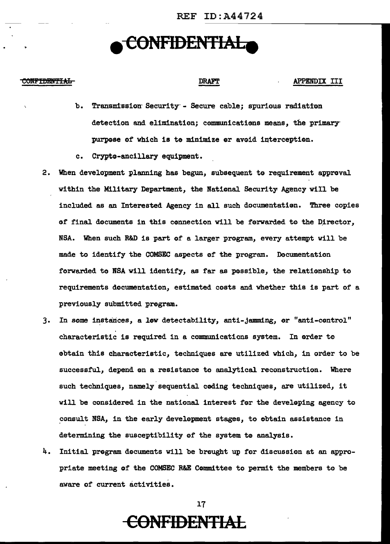## **e CONFIDENTIALe**

#### **CONFIDENTIAL**

#### DRAFT APPENDIX III

- b. Transmission Security Secure cable; spurious radiation detection and elimination; communications means, the primary purpose of which is to minimize or avoid interception.
- c. Crypto-ancillary equipment.
- 2. When development planning has begun, subsequent to requirement approval within the Military Department, the National Security Agency will be included as an Interested Agency in all such documentation. Three copies of final documents in this connection will be forwarded to the Director, NSA. When such R&D is part of a larger program, every attempt will be made to identify the COMSEC aspects 0f the program. Documentation forwarded to NSA will identify, as far as possible, the relationship to requirements documentation, estimated costs and whether this is part of a previously submitted program.
- 3. In some instances, a lew detectability, anti-jamming, or "anti-control" characteristic is required in a communications system. In arder te obtain this characteristic, techniques are utilized which, in order to be successful, depend on a resistance to analytical reconstruction. Where such techniques, namely sequential coding techniques, are utilized, it will be considered in the national interest for the developing agency to consult NSA, in the early development stages, to obtain assistance in determining the susceptibility of the system te analysis.
- 4. Initial program documents will be brought up for discussion at an appropriate meeting of the COMSEC R&E Committee to permit the members to be aware of current activities.

17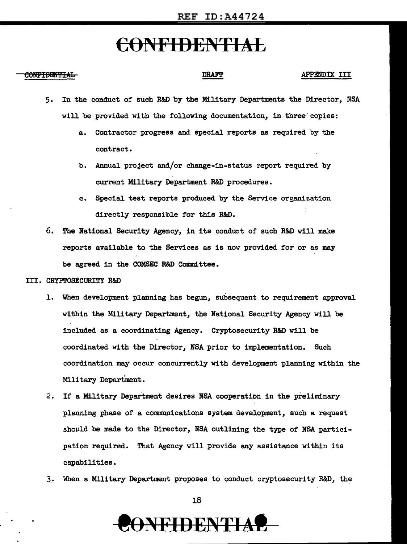### **CONFIDENTIAL CONFIDENTIAL**

- 5. In the conduct of such R&D by the Military Departments the Director, NSA wi11 be provided with the following documentation, in three' copies:
	- a. Contractor progress and special reports as required by the contract.
	- b. Annual project and/or change-in-status report required by current Military Department R&D procedures.
	- c. Special test reports produced by the Service organization directly responsible for this R&D.
- 6. The National Security Agency, in its conduct of such R&D will make reports available to the Services as is now provided for or as may be agreed in the COMSEC R&D Committee.
- III. CRYPTOSECURITY R&D
	- 1. When development planning has begun, subsequent to requirement approval within the Military Department, the National Security Agency will be included as a coordinating Agency. Cryptosecurity R&D will be coordinated with the Director, NSA prior to implementation. Such coordination may occur concurrently with development planning within the Military Department.
	- 2. If a Military Department desires NSA cooperation in the preliminary planning phase of a communications system development, such a request should be made to the Director, NSA outlining the type of NSA participation required. That Agency will provide any assistance within its capabilities •
	- 3. When a Military Department proposes to conduct cryptosecurity R&D, the



# NFIDENTIA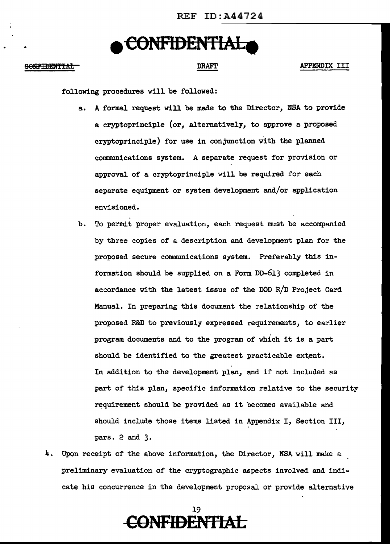## .. **e CONFIDENTIAL •**

### OONFIDENTIAL DRAFT DRAFT APPENDIX III

following procedures will be followed:

- a. A formal request will be made to the Director, NSA to provide a cryptoprinciple (or, alternatively, to approve a proposed cryptoprinciple) for use in conjunction with the planned communications system. A separate request for provision or approval of a cryptoprinciple will be required for each separate equipment or system development and/or application envisioned.
- b. To permit proper evaluation, each request must be accompanied by three copies of a description and development plan for the proposed secure communications system. Preferably this information should be supplied on a Form DD-613 completed in accordance with the latest issue of the DOD R/D Project Card Manual. In preparing this document the relationship of the proposed R&D to previously expressed requirements, to earlier program documents and to the program of which it is a part should be identified to the greatest practicable extent. In addition to the development plan, and if not included as part of this plan, specific information relative to the security requirement should be provided as it becomes available and should include those items listed in Appendix I, Section III, pars. 2 and 3.
- 4. Upon receipt of the above information, the Director, NSA will make a preliminary evaluation of the cryptographic aspects involved and indicate his concurrence in the development proposal or provide alternative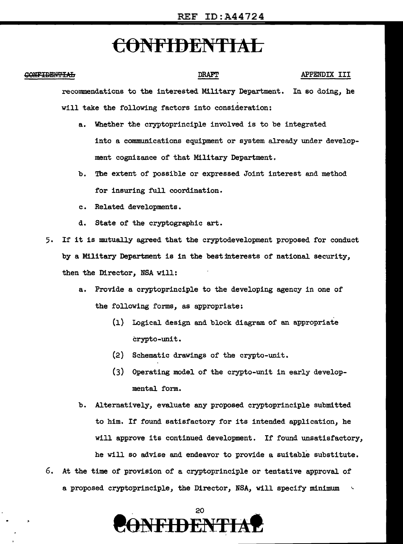#### CONFIDENTIAL

#### DRAFT APPENDIX III

recommendations to the interested Military Department. In so doing, he will take the following factors into consideration:

- a. Whether the cryptoprinciple involved is to be integrated into a communications equipment or system already under development cognizance of that Military Department.
- b. The extent of possible or expressed Joint interest and method for insuring full coordination.
- c. Related developments.
- d. State of the cryptographic art.
- 5. If it is mutually agreed that the cryptodevelopment proposed for conduct by a Military Department is in the best interests of national security, then the Director, NSA will:
	- a. Provide a cryptoprinciple to the developing agency in one of the following forms, as appropriate:
		- (1) Logical design and block diagram of an appropriate crypto-unit.
		- (2) Schematic drawings of the crypto-unit.
		- (3) Operating model of the crypto-unit in early developmental form.
	- b. Alternatively, evaluate any proposed cryptoprinciple submitted to him. If found satisfactory for its intended application, he will approve its continued development. If found unsatisfactory, he will so advise and endeavor to provide a suitable substitute.
- 6. At the time of provision of a cryptoprinciple or tentative approval of a proposed cryptoprinciple, the Director, NSA, will specify minimum <sup>~</sup>

20 **NFIDENTIA**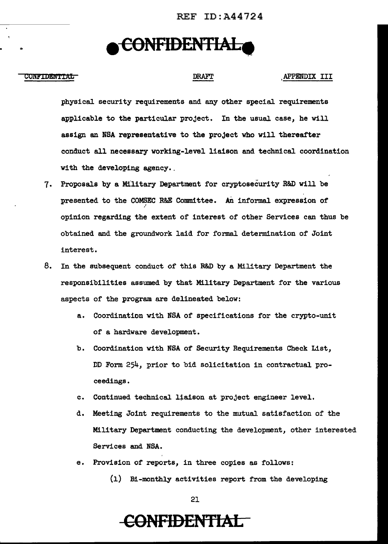REF ID:A44724

## **e C0NFIDENTIALe**

#### CONFIDENTIAL GOVERNMENT RELATIONSHIP DRAFT APPENDIX III

..

physical security requirements and any other special requirements applicable to the particular project. In the usual case, he will assign an NBA representative to the project who will thereafter conduct all necessary working-level liaison and technical coordination with the developing agency.

- 7. Proposals by a Military Department for cryptosecurity R&D will be presented to the COMSEC R&E Committee. An informal expression of / opinion regarding the extent of interest of other Services can thus be obtained and the groundwork laid for formal determination of Joint interest.
- 8. In the subsequent conduct of this R&D by a Military Department the responsibilities assumed by that Military Department for the various aspects of the program are delineated below:
	- a. Coordination with NSA of specifications for the crypto-unit of a hardware development.
	- b. Coordination with NSA of Security Requirements Check List, DD Form 254, prior to bid solicitation in contractual proceedings.
	- c. Continued technical liaison at project engineer level.
	- d. Meeting Joint requirements to the mutual satisfaction of the Military Department conducting the development, other interested Services and NBA.
	- e. Provision of reports, in three copies as follows:
		- (1) Bi-monthly activities report from the developing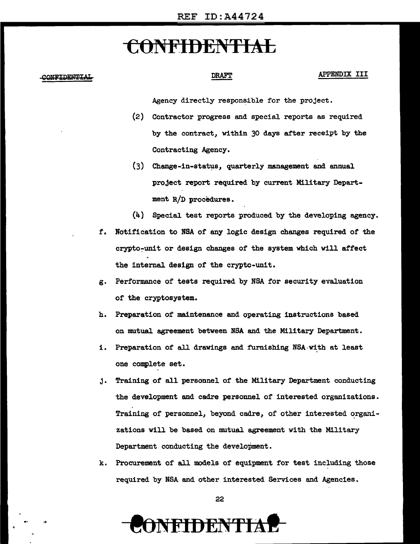## t:ONFIDEN1'1Ab

#### CONFIDENTIAL

-·

### **DRAFT**

#### APPENDIX III

Agency directly responsible for the project.

- (2) Contractor progress and special reports as required by the contract, within 30 days after receipt by the Contracting Agency.
- $(3)$  Change-in-status, quarterly management and annual project report required by current Military Department R/D procedures.
- (4) Special test reports produced by the developing agency.
- f. Notification to NSA of any logic design changes required of the crypto~unit or design changes of the system which will affect the internal design of the crypto-unit.
- g. Performance of tests required by NSA for security evaluation of the cryptosystem.
- h. Preparation of maintenance and operating instructions based on mutual agreement between NSA and the Military Department.
- i. Preparation of all drawings and furnishing NSA with at least one complete set.
- j. Training of all personnel of the Military Department conducting the development and cadre personnel of interested organizations. Training of personnel, beyond cadre, of other interested organizations will be based on mutual agreement with the Military Department conducting the development.
- k. Procurement of all models of equipment for test including those required by NSA and other interested Services and Agencies.

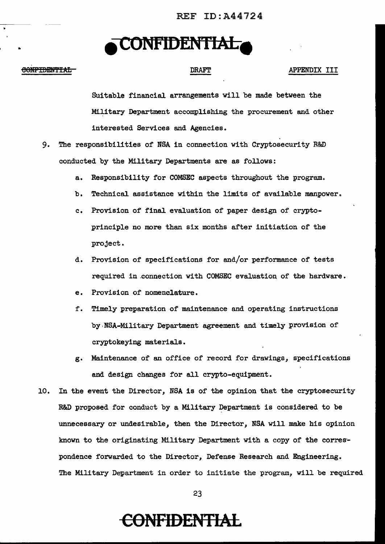REF ID:A44724

## **e CONFIDENTIAL •**

### CONFIDENTIAL

..

### DRAFT APPENDIX III

Suitable financial arrangements will be made between the Military Department accomplishing the procurement and other interested Services and Agencies.

- 9. The responsibilities of NSA in connection with Cryptosecurity R&D conducted by the Military Departments are as follows:
	- a. Responsibility for COMSEC aspects throughout the program.
	- b. Technical assistance within the limits of available manpower.
	- c. Provision of final evaluation of paper design of cryptoprinciple no more than six months after initiation of the project.
	- d. Provision of specifications for and/or performance of tests required in .connection with COMSEC evaluation of the hardware.
	- e. Provision of nomenclature.
	- f. Timely preparation of maintenance and operating instructions by.NBA-Military Department agreement and timely provision of cryptokeying materials.
	- g. Maintenance of an office of record for drawings, specifications and design changes for all crypto-equipment.
- 10. In the event the Director, NSA is of the opinion that the cryptosecurity R&D proposed for conduct by a Military Department is considered to be unnecessary or undesirable, then the Director, NSA will make his opinion known to the originating Military Department with a copy of the corres· pondence forwarded to the Director, Defense Research and Engineering. The Military Department in order to initiate the program, will be required

23